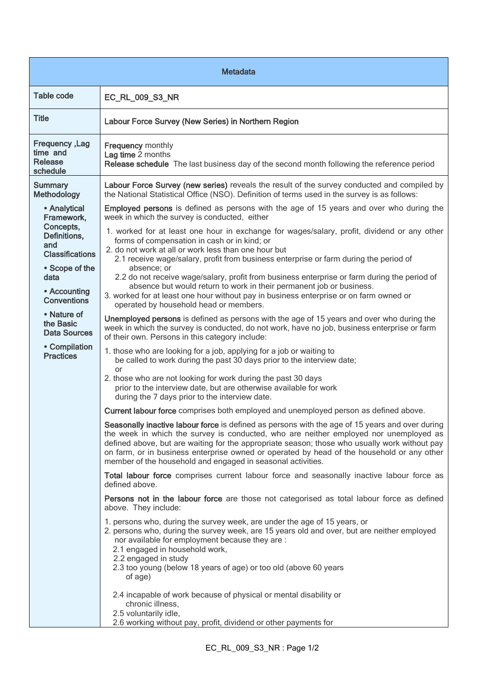| <b>Metadata</b>                                                                          |                                                                                                                                                                                                                                                                                                                                                                                                                                                        |  |
|------------------------------------------------------------------------------------------|--------------------------------------------------------------------------------------------------------------------------------------------------------------------------------------------------------------------------------------------------------------------------------------------------------------------------------------------------------------------------------------------------------------------------------------------------------|--|
| <b>Table code</b>                                                                        | EC_RL_009_S3_NR                                                                                                                                                                                                                                                                                                                                                                                                                                        |  |
| <b>Title</b>                                                                             | Labour Force Survey (New Series) in Northern Region                                                                                                                                                                                                                                                                                                                                                                                                    |  |
| Frequency, Lag<br>time and<br><b>Release</b><br>schedule                                 | <b>Frequency monthly</b><br>Lag time 2 months<br>Release schedule The last business day of the second month following the reference period                                                                                                                                                                                                                                                                                                             |  |
| <b>Summary</b><br><b>Methodology</b>                                                     | Labour Force Survey (new series) reveals the result of the survey conducted and compiled by<br>the National Statistical Office (NSO). Definition of terms used in the survey is as follows:                                                                                                                                                                                                                                                            |  |
| • Analytical<br>Framework,<br>Concepts,<br>Definitions,<br>and<br><b>Classifications</b> | <b>Employed persons</b> is defined as persons with the age of 15 years and over who during the<br>week in which the survey is conducted, either                                                                                                                                                                                                                                                                                                        |  |
|                                                                                          | 1. worked for at least one hour in exchange for wages/salary, profit, dividend or any other<br>forms of compensation in cash or in kind; or<br>2. do not work at all or work less than one hour but<br>2.1 receive wage/salary, profit from business enterprise or farm during the period of                                                                                                                                                           |  |
| • Scope of the<br>data<br>• Accounting<br><b>Conventions</b>                             | absence; or<br>2.2 do not receive wage/salary, profit from business enterprise or farm during the period of<br>absence but would return to work in their permanent job or business.<br>3. worked for at least one hour without pay in business enterprise or on farm owned or                                                                                                                                                                          |  |
| • Nature of<br>the Basic<br><b>Data Sources</b>                                          | operated by household head or members.<br>Unemployed persons is defined as persons with the age of 15 years and over who during the<br>week in which the survey is conducted, do not work, have no job, business enterprise or farm<br>of their own. Persons in this category include:                                                                                                                                                                 |  |
| • Compilation<br><b>Practices</b>                                                        | 1. those who are looking for a job, applying for a job or waiting to<br>be called to work during the past 30 days prior to the interview date;                                                                                                                                                                                                                                                                                                         |  |
|                                                                                          | or<br>2. those who are not looking for work during the past 30 days<br>prior to the interview date, but are otherwise available for work<br>during the 7 days prior to the interview date.                                                                                                                                                                                                                                                             |  |
|                                                                                          | Current labour force comprises both employed and unemployed person as defined above.                                                                                                                                                                                                                                                                                                                                                                   |  |
|                                                                                          | Seasonally inactive labour force is defined as persons with the age of 15 years and over during<br>the week in which the survey is conducted, who are neither employed nor unemployed as<br>defined above, but are waiting for the appropriate season; those who usually work without pay<br>on farm, or in business enterprise owned or operated by head of the household or any other<br>member of the household and engaged in seasonal activities. |  |
|                                                                                          | Total labour force comprises current labour force and seasonally inactive labour force as<br>defined above.                                                                                                                                                                                                                                                                                                                                            |  |
|                                                                                          | Persons not in the labour force are those not categorised as total labour force as defined<br>above. They include:                                                                                                                                                                                                                                                                                                                                     |  |
|                                                                                          | 1. persons who, during the survey week, are under the age of 15 years, or<br>2. persons who, during the survey week, are 15 years old and over, but are neither employed<br>nor available for employment because they are :<br>2.1 engaged in household work,<br>2.2 engaged in study<br>2.3 too young (below 18 years of age) or too old (above 60 years<br>of age)                                                                                   |  |
|                                                                                          | 2.4 incapable of work because of physical or mental disability or<br>chronic illness,<br>2.5 voluntarily idle,<br>2.6 working without pay, profit, dividend or other payments for                                                                                                                                                                                                                                                                      |  |